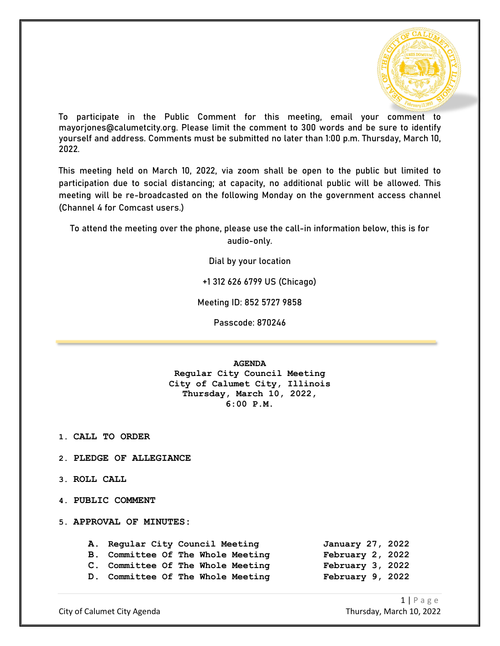

To participate in the Public Comment for this meeting, email your comment to mayorjones@calumetcity.org. Please limit the comment to 300 words and be sure to identify yourself and address. Comments must be submitted no later than 1:00 p.m. Thursday, March 10, 2022.

This meeting held on March 10, 2022, via zoom shall be open to the public but limited to participation due to social distancing; at capacity, no additional public will be allowed. This meeting will be re-broadcasted on the following Monday on the government access channel (Channel 4 for Comcast users.)

To attend the meeting over the phone, please use the call-in information below, this is for audio-only.

Dial by your location

+1 312 626 6799 US (Chicago)

Meeting ID: 852 5727 9858

Passcode: 870246

**AGENDA**

**Regular City Council Meeting City of Calumet City, Illinois Thursday, March 10, 2022, 6:00 P.M.**

**1. CALL TO ORDER**

- **2. PLEDGE OF ALLEGIANCE**
- **3. ROLL CALL**
- **4. PUBLIC COMMENT**

**5. APPROVAL OF MINUTES:**

|  | A. Regular City Council Meeting<br><b>B. Committee Of The Whole Meeting</b><br>C. Committee Of The Whole Meeting<br>D. Committee Of The Whole Meeting | January 27, 2022<br>February 2, 2022<br>February 3, 2022<br>February 9, 2022 |
|--|-------------------------------------------------------------------------------------------------------------------------------------------------------|------------------------------------------------------------------------------|

City of Calumet City Agenda Thursday, March 10, 2022

1 | Page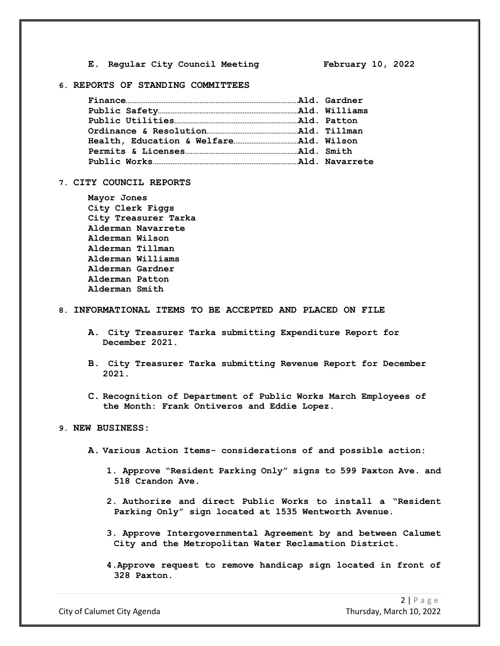**E. Regular City Council Meeting February 10, 2022**

## **6. REPORTS OF STANDING COMMITTEES**

#### **7. CITY COUNCIL REPORTS**

**Mayor Jones City Clerk Figgs City Treasurer Tarka Alderman Navarrete Alderman Wilson Alderman Tillman Alderman Williams Alderman Gardner Alderman Patton Alderman Smith**

#### **8. INFORMATIONAL ITEMS TO BE ACCEPTED AND PLACED ON FILE**

- **A. City Treasurer Tarka submitting Expenditure Report for December 2021.**
- **B. City Treasurer Tarka submitting Revenue Report for December 2021.**
- **C. Recognition of Department of Public Works March Employees of the Month: Frank Ontiveros and Eddie Lopez.**

### **9. NEW BUSINESS:**

- **A. Various Action Items- considerations of and possible action:**
	- **1. Approve "Resident Parking Only" signs to 599 Paxton Ave. and 518 Crandon Ave.**
	- **2. Authorize and direct Public Works to install a "Resident Parking Only" sign located at 1535 Wentworth Avenue.**
	- **3. Approve Intergovernmental Agreement by and between Calumet City and the Metropolitan Water Reclamation District.**
	- **4.Approve request to remove handicap sign located in front of 328 Paxton.**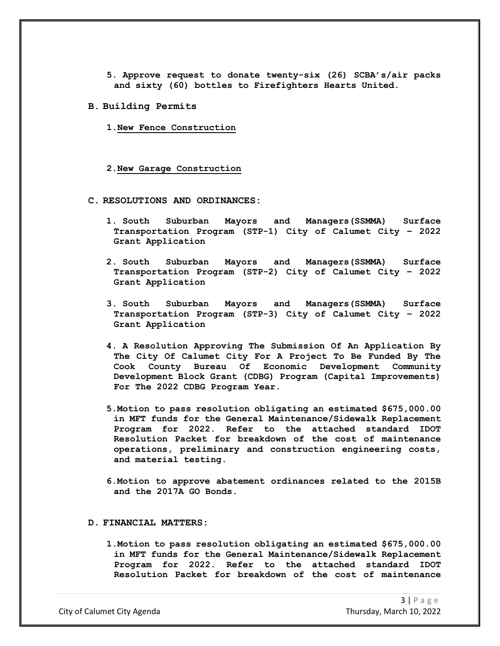- **5. Approve request to donate twenty-six (26) SCBA's/air packs and sixty (60) bottles to Firefighters Hearts United.**
- **B. Building Permits**
	- **1.New Fence Construction**
	- **2.New Garage Construction**
- **C. RESOLUTIONS AND ORDINANCES:**
	- **1. South Suburban Mayors and Managers(SSMMA) Surface Transportation Program (STP-1) City of Calumet City – 2022 Grant Application**
	- **2. South Suburban Mayors and Managers(SSMMA) Surface Transportation Program (STP-2) City of Calumet City – 2022 Grant Application**
	- **3. South Suburban Mayors and Managers(SSMMA) Surface Transportation Program (STP-3) City of Calumet City – 2022 Grant Application**
	- **4. A Resolution Approving The Submission Of An Application By The City Of Calumet City For A Project To Be Funded By The Cook County Bureau Of Economic Development Community Development Block Grant (CDBG) Program (Capital Improvements) For The 2022 CDBG Program Year.**
	- **5.Motion to pass resolution obligating an estimated \$675,000.00 in MFT funds for the General Maintenance/Sidewalk Replacement Program for 2022. Refer to the attached standard IDOT Resolution Packet for breakdown of the cost of maintenance operations, preliminary and construction engineering costs, and material testing.**
	- **6.Motion to approve abatement ordinances related to the 2015B and the 2017A GO Bonds.**

#### **D. FINANCIAL MATTERS:**

**1.Motion to pass resolution obligating an estimated \$675,000.00 in MFT funds for the General Maintenance/Sidewalk Replacement Program for 2022. Refer to the attached standard IDOT Resolution Packet for breakdown of the cost of maintenance** 

City of Calumet City Agenda Thursday, March 10, 2022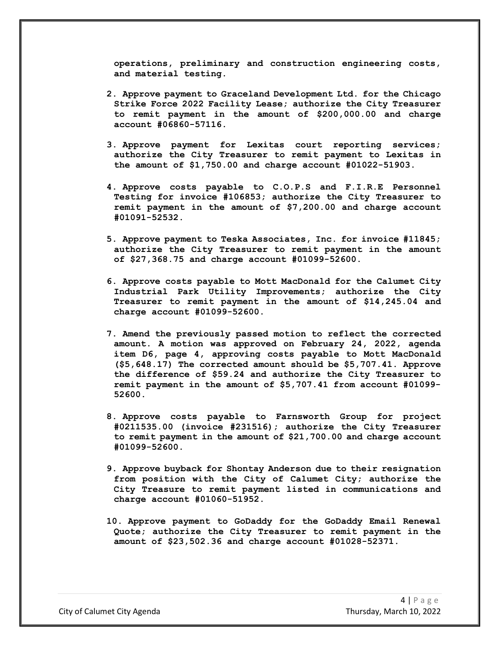**operations, preliminary and construction engineering costs, and material testing.** 

- **2. Approve payment to Graceland Development Ltd. for the Chicago Strike Force 2022 Facility Lease; authorize the City Treasurer to remit payment in the amount of \$200,000.00 and charge account #06860-57116.**
- **3. Approve payment for Lexitas court reporting services; authorize the City Treasurer to remit payment to Lexitas in the amount of \$1,750.00 and charge account #01022-51903.**
- **4. Approve costs payable to C.O.P.S and F.I.R.E Personnel Testing for invoice #106853; authorize the City Treasurer to remit payment in the amount of \$7,200.00 and charge account #01091-52532.**
- **5. Approve payment to Teska Associates, Inc. for invoice #11845; authorize the City Treasurer to remit payment in the amount of \$27,368.75 and charge account #01099-52600.**
- **6. Approve costs payable to Mott MacDonald for the Calumet City Industrial Park Utility Improvements; authorize the City Treasurer to remit payment in the amount of \$14,245.04 and charge account #01099-52600.**
- **7. Amend the previously passed motion to reflect the corrected amount. A motion was approved on February 24, 2022, agenda item D6, page 4, approving costs payable to Mott MacDonald (\$5,648.17) The corrected amount should be \$5,707.41. Approve the difference of \$59.24 and authorize the City Treasurer to remit payment in the amount of \$5,707.41 from account #01099- 52600.**
- **8. Approve costs payable to Farnsworth Group for project #0211535.00 (invoice #231516); authorize the City Treasurer to remit payment in the amount of \$21,700.00 and charge account #01099-52600.**
- **9. Approve buyback for Shontay Anderson due to their resignation from position with the City of Calumet City; authorize the City Treasure to remit payment listed in communications and charge account #01060-51952.**
- **10. Approve payment to GoDaddy for the GoDaddy Email Renewal Quote; authorize the City Treasurer to remit payment in the amount of \$23,502.36 and charge account #01028-52371.**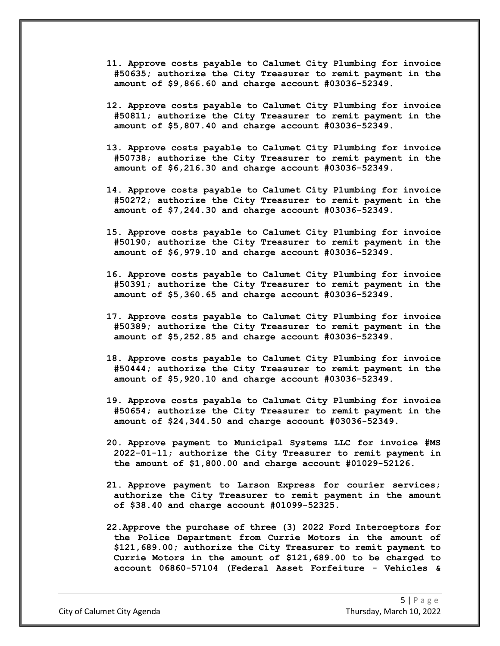- **11. Approve costs payable to Calumet City Plumbing for invoice #50635; authorize the City Treasurer to remit payment in the amount of \$9,866.60 and charge account #03036-52349.**
- **12. Approve costs payable to Calumet City Plumbing for invoice #50811; authorize the City Treasurer to remit payment in the amount of \$5,807.40 and charge account #03036-52349.**
- **13. Approve costs payable to Calumet City Plumbing for invoice #50738; authorize the City Treasurer to remit payment in the amount of \$6,216.30 and charge account #03036-52349.**
- **14. Approve costs payable to Calumet City Plumbing for invoice #50272; authorize the City Treasurer to remit payment in the amount of \$7,244.30 and charge account #03036-52349.**
- **15. Approve costs payable to Calumet City Plumbing for invoice #50190; authorize the City Treasurer to remit payment in the amount of \$6,979.10 and charge account #03036-52349.**
- **16. Approve costs payable to Calumet City Plumbing for invoice #50391; authorize the City Treasurer to remit payment in the amount of \$5,360.65 and charge account #03036-52349.**
- **17. Approve costs payable to Calumet City Plumbing for invoice #50389; authorize the City Treasurer to remit payment in the amount of \$5,252.85 and charge account #03036-52349.**
- **18. Approve costs payable to Calumet City Plumbing for invoice #50444; authorize the City Treasurer to remit payment in the amount of \$5,920.10 and charge account #03036-52349.**
- **19. Approve costs payable to Calumet City Plumbing for invoice #50654; authorize the City Treasurer to remit payment in the amount of \$24,344.50 and charge account #03036-52349.**
- **20. Approve payment to Municipal Systems LLC for invoice #MS 2022-01-11; authorize the City Treasurer to remit payment in the amount of \$1,800.00 and charge account #01029-52126.**
- **21. Approve payment to Larson Express for courier services; authorize the City Treasurer to remit payment in the amount of \$38.40 and charge account #01099-52325.**
- **22.Approve the purchase of three (3) 2022 Ford Interceptors for the Police Department from Currie Motors in the amount of \$121,689.00; authorize the City Treasurer to remit payment to Currie Motors in the amount of \$121,689.00 to be charged to account 06860-57104 (Federal Asset Forfeiture - Vehicles &**

City of Calumet City Agenda Thursday, March 10, 2022